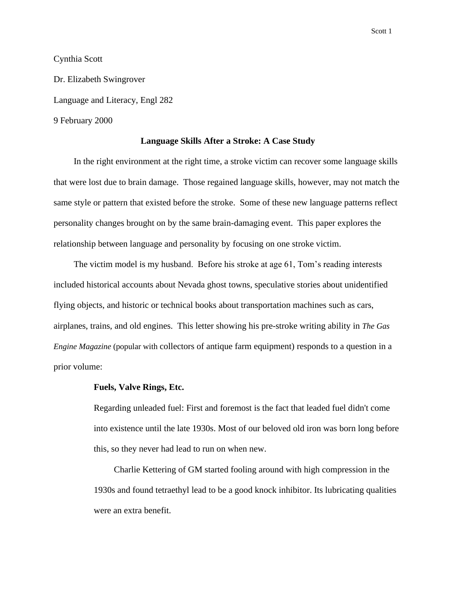Scott 1

## Cynthia Scott

Dr. Elizabeth Swingrover Language and Literacy, Engl 282 9 February 2000

## **Language Skills After a Stroke: A Case Study**

In the right environment at the right time, a stroke victim can recover some language skills that were lost due to brain damage. Those regained language skills, however, may not match the same style or pattern that existed before the stroke. Some of these new language patterns reflect personality changes brought on by the same brain-damaging event. This paper explores the relationship between language and personality by focusing on one stroke victim.

The victim model is my husband. Before his stroke at age 61, Tom's reading interests included historical accounts about Nevada ghost towns, speculative stories about unidentified flying objects, and historic or technical books about transportation machines such as cars, airplanes, trains, and old engines. This letter showing his pre-stroke writing ability in *The Gas Engine Magazine* (popular with collectors of antique farm equipment) responds to a question in a prior volume:

## **Fuels, Valve Rings, Etc.**

Regarding unleaded fuel: First and foremost is the fact that leaded fuel didn't come into existence until the late 1930s. Most of our beloved old iron was born long before this, so they never had lead to run on when new.

Charlie Kettering of GM started fooling around with high compression in the 1930s and found tetraethyl lead to be a good knock inhibitor. Its lubricating qualities were an extra benefit.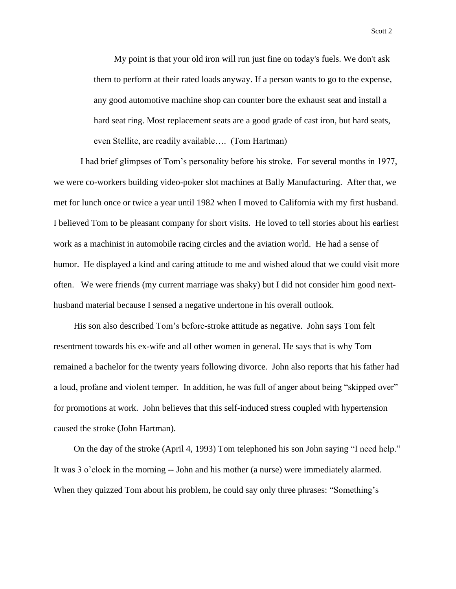My point is that your old iron will run just fine on today's fuels. We don't ask them to perform at their rated loads anyway. If a person wants to go to the expense, any good automotive machine shop can counter bore the exhaust seat and install a hard seat ring. Most replacement seats are a good grade of cast iron, but hard seats, even Stellite, are readily available…. (Tom Hartman)

I had brief glimpses of Tom's personality before his stroke. For several months in 1977, we were co-workers building video-poker slot machines at Bally Manufacturing. After that, we met for lunch once or twice a year until 1982 when I moved to California with my first husband. I believed Tom to be pleasant company for short visits. He loved to tell stories about his earliest work as a machinist in automobile racing circles and the aviation world. He had a sense of humor. He displayed a kind and caring attitude to me and wished aloud that we could visit more often. We were friends (my current marriage was shaky) but I did not consider him good nexthusband material because I sensed a negative undertone in his overall outlook.

His son also described Tom's before-stroke attitude as negative. John says Tom felt resentment towards his ex-wife and all other women in general. He says that is why Tom remained a bachelor for the twenty years following divorce. John also reports that his father had a loud, profane and violent temper. In addition, he was full of anger about being "skipped over" for promotions at work. John believes that this self-induced stress coupled with hypertension caused the stroke (John Hartman).

On the day of the stroke (April 4, 1993) Tom telephoned his son John saying "I need help." It was 3 o'clock in the morning -- John and his mother (a nurse) were immediately alarmed. When they quizzed Tom about his problem, he could say only three phrases: "Something's

Scott 2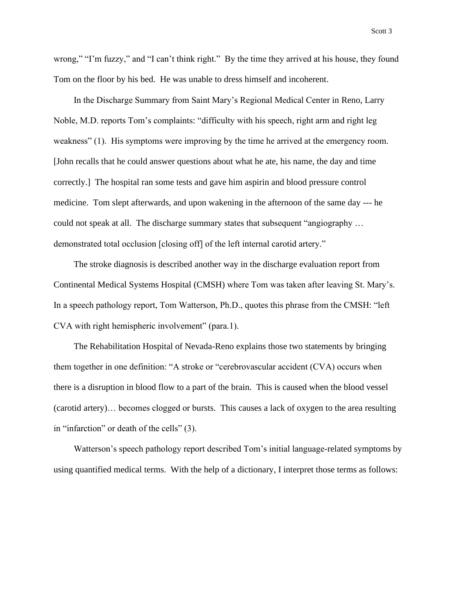Scott 3

wrong," "I'm fuzzy," and "I can't think right." By the time they arrived at his house, they found Tom on the floor by his bed. He was unable to dress himself and incoherent.

In the Discharge Summary from Saint Mary's Regional Medical Center in Reno, Larry Noble, M.D. reports Tom's complaints: "difficulty with his speech, right arm and right leg weakness" (1). His symptoms were improving by the time he arrived at the emergency room. [John recalls that he could answer questions about what he ate, his name, the day and time correctly.] The hospital ran some tests and gave him aspirin and blood pressure control medicine. Tom slept afterwards, and upon wakening in the afternoon of the same day --- he could not speak at all. The discharge summary states that subsequent "angiography … demonstrated total occlusion [closing off] of the left internal carotid artery."

The stroke diagnosis is described another way in the discharge evaluation report from Continental Medical Systems Hospital (CMSH) where Tom was taken after leaving St. Mary's. In a speech pathology report, Tom Watterson, Ph.D., quotes this phrase from the CMSH: "left CVA with right hemispheric involvement" (para.1).

The Rehabilitation Hospital of Nevada-Reno explains those two statements by bringing them together in one definition: "A stroke or "cerebrovascular accident (CVA) occurs when there is a disruption in blood flow to a part of the brain. This is caused when the blood vessel (carotid artery)… becomes clogged or bursts. This causes a lack of oxygen to the area resulting in "infarction" or death of the cells" (3).

Watterson's speech pathology report described Tom's initial language-related symptoms by using quantified medical terms. With the help of a dictionary, I interpret those terms as follows: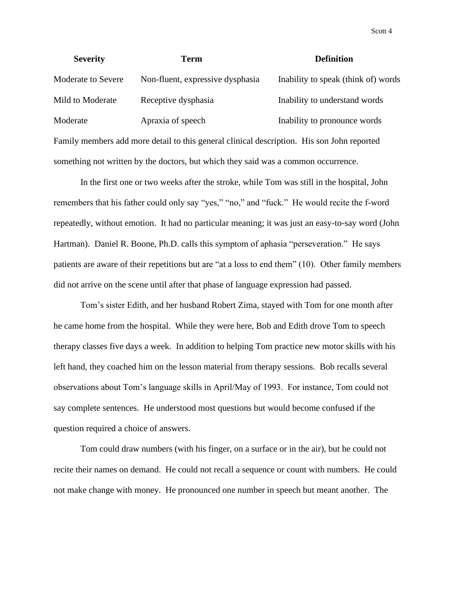| <b>Severity</b>                                                                    | <b>Term</b>                                                                                | <b>Definition</b>                   |
|------------------------------------------------------------------------------------|--------------------------------------------------------------------------------------------|-------------------------------------|
| Moderate to Severe                                                                 | Non-fluent, expressive dysphasia                                                           | Inability to speak (think of) words |
| Mild to Moderate                                                                   | Receptive dysphasia                                                                        | Inability to understand words       |
| Moderate                                                                           | Apraxia of speech                                                                          | Inability to pronounce words        |
|                                                                                    | Family members add more detail to this general clinical description. His son John reported |                                     |
| something not written by the doctors, but which they said was a common occurrence. |                                                                                            |                                     |

In the first one or two weeks after the stroke, while Tom was still in the hospital, John remembers that his father could only say "yes," "no," and "fuck." He would recite the f-word repeatedly, without emotion. It had no particular meaning; it was just an easy-to-say word (John Hartman). Daniel R. Boone, Ph.D. calls this symptom of aphasia "perseveration." He says patients are aware of their repetitions but are "at a loss to end them" (10). Other family members did not arrive on the scene until after that phase of language expression had passed.

Tom's sister Edith, and her husband Robert Zima, stayed with Tom for one month after he came home from the hospital. While they were here, Bob and Edith drove Tom to speech therapy classes five days a week. In addition to helping Tom practice new motor skills with his left hand, they coached him on the lesson material from therapy sessions. Bob recalls several observations about Tom's language skills in April/May of 1993. For instance, Tom could not say complete sentences. He understood most questions but would become confused if the question required a choice of answers.

Tom could draw numbers (with his finger, on a surface or in the air), but he could not recite their names on demand. He could not recall a sequence or count with numbers. He could not make change with money. He pronounced one number in speech but meant another. The

Scott 4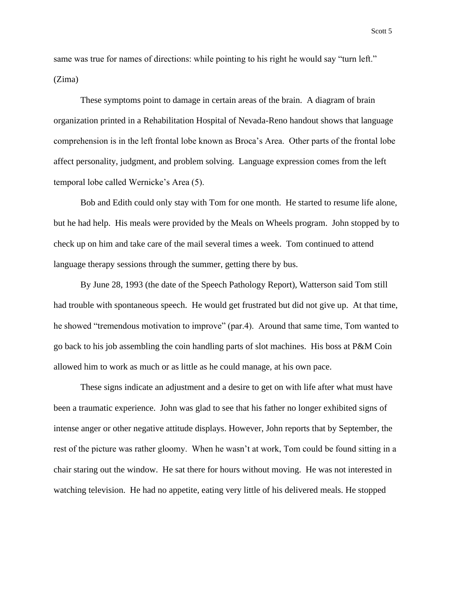same was true for names of directions: while pointing to his right he would say "turn left." (Zima)

These symptoms point to damage in certain areas of the brain. A diagram of brain organization printed in a Rehabilitation Hospital of Nevada-Reno handout shows that language comprehension is in the left frontal lobe known as Broca's Area. Other parts of the frontal lobe affect personality, judgment, and problem solving. Language expression comes from the left temporal lobe called Wernicke's Area (5).

Bob and Edith could only stay with Tom for one month. He started to resume life alone, but he had help. His meals were provided by the Meals on Wheels program. John stopped by to check up on him and take care of the mail several times a week. Tom continued to attend language therapy sessions through the summer, getting there by bus.

By June 28, 1993 (the date of the Speech Pathology Report), Watterson said Tom still had trouble with spontaneous speech. He would get frustrated but did not give up. At that time, he showed "tremendous motivation to improve" (par.4). Around that same time, Tom wanted to go back to his job assembling the coin handling parts of slot machines. His boss at P&M Coin allowed him to work as much or as little as he could manage, at his own pace.

These signs indicate an adjustment and a desire to get on with life after what must have been a traumatic experience. John was glad to see that his father no longer exhibited signs of intense anger or other negative attitude displays. However, John reports that by September, the rest of the picture was rather gloomy. When he wasn't at work, Tom could be found sitting in a chair staring out the window. He sat there for hours without moving. He was not interested in watching television. He had no appetite, eating very little of his delivered meals. He stopped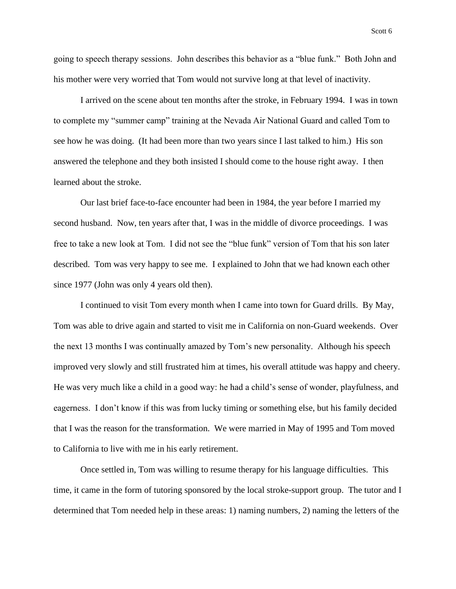going to speech therapy sessions. John describes this behavior as a "blue funk." Both John and his mother were very worried that Tom would not survive long at that level of inactivity.

I arrived on the scene about ten months after the stroke, in February 1994. I was in town to complete my "summer camp" training at the Nevada Air National Guard and called Tom to see how he was doing. (It had been more than two years since I last talked to him.) His son answered the telephone and they both insisted I should come to the house right away. I then learned about the stroke.

Our last brief face-to-face encounter had been in 1984, the year before I married my second husband. Now, ten years after that, I was in the middle of divorce proceedings. I was free to take a new look at Tom. I did not see the "blue funk" version of Tom that his son later described. Tom was very happy to see me. I explained to John that we had known each other since 1977 (John was only 4 years old then).

I continued to visit Tom every month when I came into town for Guard drills. By May, Tom was able to drive again and started to visit me in California on non-Guard weekends. Over the next 13 months I was continually amazed by Tom's new personality. Although his speech improved very slowly and still frustrated him at times, his overall attitude was happy and cheery. He was very much like a child in a good way: he had a child's sense of wonder, playfulness, and eagerness. I don't know if this was from lucky timing or something else, but his family decided that I was the reason for the transformation. We were married in May of 1995 and Tom moved to California to live with me in his early retirement.

Once settled in, Tom was willing to resume therapy for his language difficulties. This time, it came in the form of tutoring sponsored by the local stroke-support group. The tutor and I determined that Tom needed help in these areas: 1) naming numbers, 2) naming the letters of the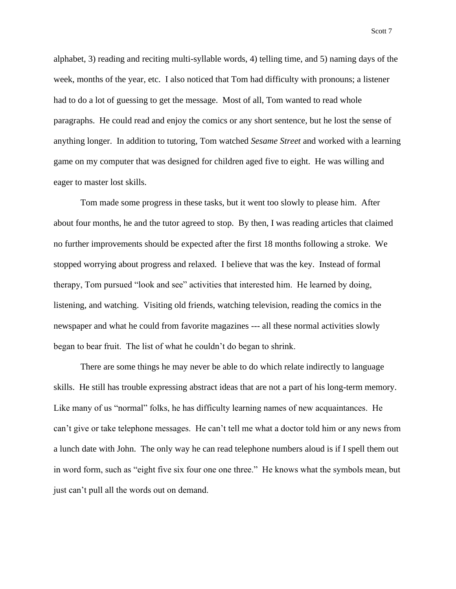alphabet, 3) reading and reciting multi-syllable words, 4) telling time, and 5) naming days of the week, months of the year, etc. I also noticed that Tom had difficulty with pronouns; a listener had to do a lot of guessing to get the message. Most of all, Tom wanted to read whole paragraphs. He could read and enjoy the comics or any short sentence, but he lost the sense of anything longer. In addition to tutoring, Tom watched *Sesame Street* and worked with a learning game on my computer that was designed for children aged five to eight. He was willing and eager to master lost skills.

Tom made some progress in these tasks, but it went too slowly to please him. After about four months, he and the tutor agreed to stop. By then, I was reading articles that claimed no further improvements should be expected after the first 18 months following a stroke. We stopped worrying about progress and relaxed. I believe that was the key. Instead of formal therapy, Tom pursued "look and see" activities that interested him. He learned by doing, listening, and watching. Visiting old friends, watching television, reading the comics in the newspaper and what he could from favorite magazines --- all these normal activities slowly began to bear fruit. The list of what he couldn't do began to shrink.

There are some things he may never be able to do which relate indirectly to language skills. He still has trouble expressing abstract ideas that are not a part of his long-term memory. Like many of us "normal" folks, he has difficulty learning names of new acquaintances. He can't give or take telephone messages. He can't tell me what a doctor told him or any news from a lunch date with John. The only way he can read telephone numbers aloud is if I spell them out in word form, such as "eight five six four one one three." He knows what the symbols mean, but just can't pull all the words out on demand.

Scott 7